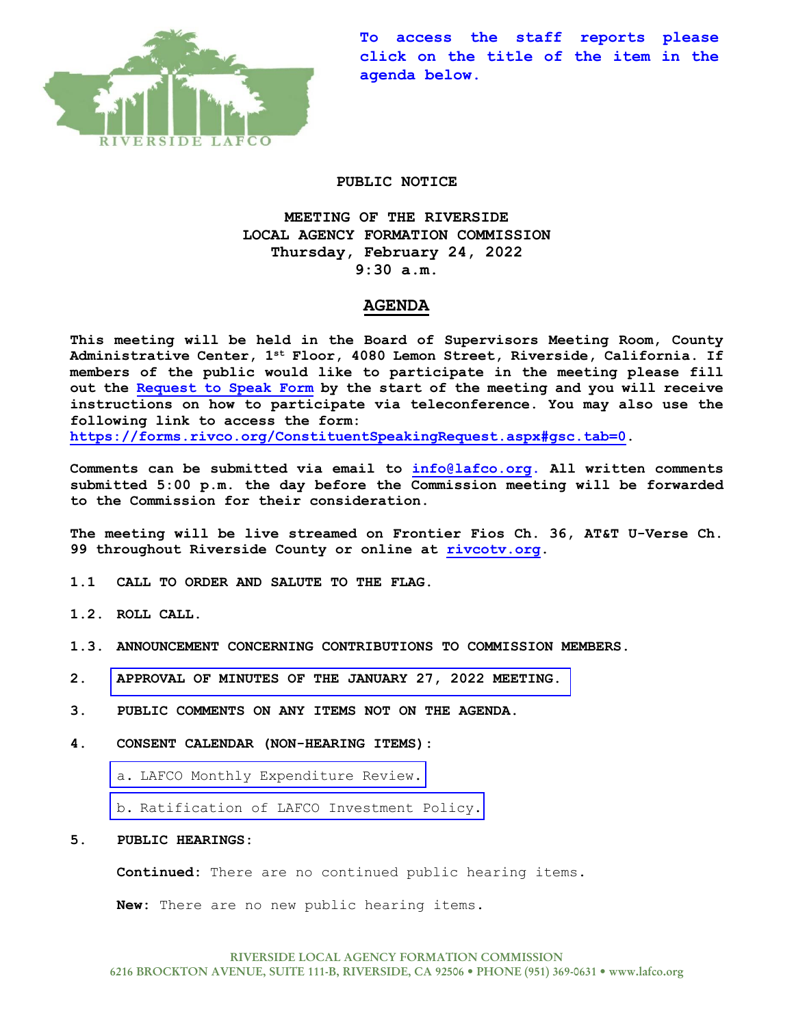

**To access the staff reports please click on the title of the item in the agenda below.**

### **PUBLIC NOTICE**

**MEETING OF THE RIVERSIDE LOCAL AGENCY FORMATION COMMISSION Thursday, February 24, 2022 9:30 a.m.**

## **AGENDA**

**This meeting will be held in the Board of Supervisors Meeting Room, County Administrative Center, 1st Floor, 4080 Lemon Street, Riverside, California. If members of the public would like to participate in the meeting please fill out the [Request to Speak Form](https://forms.rivco.org/ConstituentSpeakingRequest.aspx#gsc.tab=0) by the start of the meeting and you will receive instructions on how to participate via teleconference. You may also use the following link to access the form:**

**[https://forms.rivco.org/ConstituentSpeakingRequest.aspx#gsc.tab=0.](https://forms.rivco.org/ConstituentSpeakingRequest.aspx#gsc.tab=0)**

**Comments can be submitted via email to [info@lafco.org.](mailto:info@lafco.org) All written comments submitted 5:00 p.m. the day before the Commission meeting will be forwarded to the Commission for their consideration.**

**The meeting will be live streamed on Frontier Fios Ch. 36, AT&T U-Verse Ch. 99 throughout Riverside County or online at [rivcotv.org.](https://rivcotv.org/)** 

- **1.1 CALL TO ORDER AND SALUTE TO THE FLAG.**
- **1.2. ROLL CALL.**
- **1.3. ANNOUNCEMENT CONCERNING CONTRIBUTIONS TO COMMISSION MEMBERS.**
- **2. [APPROVAL OF MINUTES OF THE JANUARY 27, 2022](https://lafco.org/wp-content/uploads/documents/february-24-2022-lafco-meeting/2.%20Minutes%20of%201-27-2022%20Meeting.pdf) MEETING.**
- **3. PUBLIC COMMENTS ON ANY ITEMS NOT ON THE AGENDA.**
- **4. CONSENT CALENDAR (NON-HEARING ITEMS):**
	- a. [LAFCO Monthly Expenditure Review.](https://lafco.org/wp-content/uploads/documents/february-24-2022-lafco-meeting/4.a.%20Monthly%20Expenditure%20Rpt%202-24-22.pdf)
	- b. [Ratification of LAFCO Investment Policy.](https://lafco.org/wp-content/uploads/documents/february-24-2022-lafco-meeting/4.b.%20Ratification%20of%20LAFCO%20Investment%20Policy.pdf)
- **5. PUBLIC HEARINGS:**

**Continued:** There are no continued public hearing items.

**New:** There are no new public hearing items.